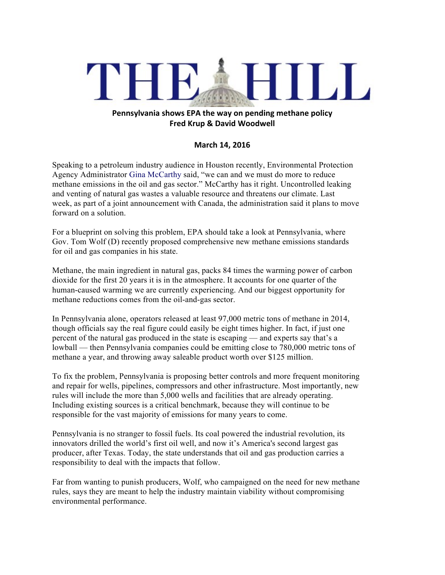## THEAHILL

## **Pennsylvania shows EPA the way on pending methane policy Fred Krup & David Woodwell**

## **March 14, 2016**

Speaking to a petroleum industry audience in Houston recently, Environmental Protection Agency Administrator Gina McCarthy said, "we can and we must do more to reduce methane emissions in the oil and gas sector." McCarthy has it right. Uncontrolled leaking and venting of natural gas wastes a valuable resource and threatens our climate. Last week, as part of a joint announcement with Canada, the administration said it plans to move forward on a solution.

For a blueprint on solving this problem, EPA should take a look at Pennsylvania, where Gov. Tom Wolf (D) recently proposed comprehensive new methane emissions standards for oil and gas companies in his state.

Methane, the main ingredient in natural gas, packs 84 times the warming power of carbon dioxide for the first 20 years it is in the atmosphere. It accounts for one quarter of the human-caused warming we are currently experiencing. And our biggest opportunity for methane reductions comes from the oil-and-gas sector.

In Pennsylvania alone, operators released at least 97,000 metric tons of methane in 2014, though officials say the real figure could easily be eight times higher. In fact, if just one percent of the natural gas produced in the state is escaping — and experts say that's a lowball — then Pennsylvania companies could be emitting close to 780,000 metric tons of methane a year, and throwing away saleable product worth over \$125 million.

To fix the problem, Pennsylvania is proposing better controls and more frequent monitoring and repair for wells, pipelines, compressors and other infrastructure. Most importantly, new rules will include the more than 5,000 wells and facilities that are already operating. Including existing sources is a critical benchmark, because they will continue to be responsible for the vast majority of emissions for many years to come.

Pennsylvania is no stranger to fossil fuels. Its coal powered the industrial revolution, its innovators drilled the world's first oil well, and now it's America's second largest gas producer, after Texas. Today, the state understands that oil and gas production carries a responsibility to deal with the impacts that follow.

Far from wanting to punish producers, Wolf, who campaigned on the need for new methane rules, says they are meant to help the industry maintain viability without compromising environmental performance.